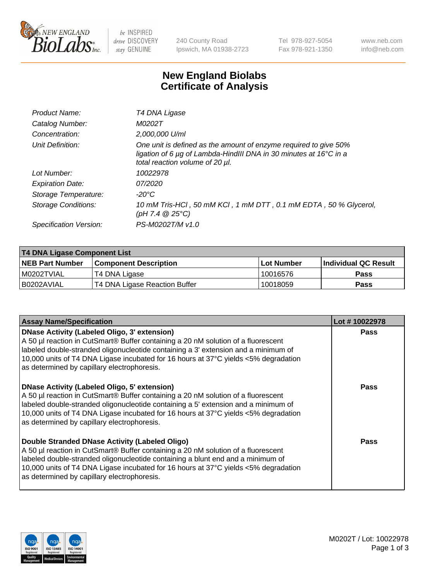

be INSPIRED drive DISCOVERY stay GENUINE

240 County Road Ipswich, MA 01938-2723 Tel 978-927-5054 Fax 978-921-1350 www.neb.com info@neb.com

## **New England Biolabs Certificate of Analysis**

| Product Name:              | T4 DNA Ligase                                                                                                                                                            |
|----------------------------|--------------------------------------------------------------------------------------------------------------------------------------------------------------------------|
| Catalog Number:            | M0202T                                                                                                                                                                   |
| Concentration:             | 2,000,000 U/ml                                                                                                                                                           |
| Unit Definition:           | One unit is defined as the amount of enzyme required to give 50%<br>ligation of 6 µg of Lambda-HindIII DNA in 30 minutes at 16°C in a<br>total reaction volume of 20 µl. |
| Lot Number:                | 10022978                                                                                                                                                                 |
| <b>Expiration Date:</b>    | 07/2020                                                                                                                                                                  |
| Storage Temperature:       | -20°C                                                                                                                                                                    |
| <b>Storage Conditions:</b> | 10 mM Tris-HCl, 50 mM KCl, 1 mM DTT, 0.1 mM EDTA, 50 % Glycerol,<br>(pH 7.4 $@25°C$ )                                                                                    |
| Specification Version:     | PS-M0202T/M v1.0                                                                                                                                                         |

| T4 DNA Ligase Component List |                               |              |                             |  |
|------------------------------|-------------------------------|--------------|-----------------------------|--|
| <b>NEB Part Number</b>       | <b>Component Description</b>  | l Lot Number | <b>Individual QC Result</b> |  |
| I M0202TVIAL                 | T4 DNA Ligase                 | 10016576     | <b>Pass</b>                 |  |
| I B0202AVIAL                 | T4 DNA Ligase Reaction Buffer | 10018059     | <b>Pass</b>                 |  |

| <b>Assay Name/Specification</b>                                                                                                                                                                                                                                                                                                                               | Lot #10022978 |
|---------------------------------------------------------------------------------------------------------------------------------------------------------------------------------------------------------------------------------------------------------------------------------------------------------------------------------------------------------------|---------------|
| DNase Activity (Labeled Oligo, 3' extension)<br>A 50 µl reaction in CutSmart® Buffer containing a 20 nM solution of a fluorescent<br>labeled double-stranded oligonucleotide containing a 3' extension and a minimum of<br>10,000 units of T4 DNA Ligase incubated for 16 hours at 37°C yields <5% degradation<br>as determined by capillary electrophoresis. | <b>Pass</b>   |
| DNase Activity (Labeled Oligo, 5' extension)<br>A 50 µl reaction in CutSmart® Buffer containing a 20 nM solution of a fluorescent<br>labeled double-stranded oligonucleotide containing a 5' extension and a minimum of<br>10,000 units of T4 DNA Ligase incubated for 16 hours at 37°C yields <5% degradation<br>as determined by capillary electrophoresis. | <b>Pass</b>   |
| Double Stranded DNase Activity (Labeled Oligo)<br>A 50 µl reaction in CutSmart® Buffer containing a 20 nM solution of a fluorescent<br>abeled double-stranded oligonucleotide containing a blunt end and a minimum of<br>10,000 units of T4 DNA Ligase incubated for 16 hours at 37°C yields <5% degradation<br>as determined by capillary electrophoresis.   | Pass          |

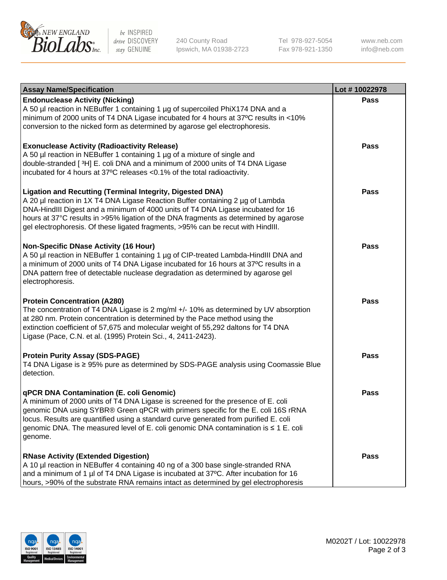

be INSPIRED drive DISCOVERY stay GENUINE

240 County Road Ipswich, MA 01938-2723 Tel 978-927-5054 Fax 978-921-1350

www.neb.com info@neb.com

| <b>Assay Name/Specification</b>                                                                                                                                                                                                                                                                                                                                                                                    | Lot #10022978 |
|--------------------------------------------------------------------------------------------------------------------------------------------------------------------------------------------------------------------------------------------------------------------------------------------------------------------------------------------------------------------------------------------------------------------|---------------|
| <b>Endonuclease Activity (Nicking)</b><br>A 50 µl reaction in NEBuffer 1 containing 1 µg of supercoiled PhiX174 DNA and a<br>minimum of 2000 units of T4 DNA Ligase incubated for 4 hours at 37°C results in <10%<br>conversion to the nicked form as determined by agarose gel electrophoresis.                                                                                                                   | <b>Pass</b>   |
| <b>Exonuclease Activity (Radioactivity Release)</b><br>A 50 µl reaction in NEBuffer 1 containing 1 µg of a mixture of single and<br>double-stranded [3H] E. coli DNA and a minimum of 2000 units of T4 DNA Ligase<br>incubated for 4 hours at 37°C releases <0.1% of the total radioactivity.                                                                                                                      | <b>Pass</b>   |
| <b>Ligation and Recutting (Terminal Integrity, Digested DNA)</b><br>A 20 µl reaction in 1X T4 DNA Ligase Reaction Buffer containing 2 µg of Lambda<br>DNA-HindIII Digest and a minimum of 4000 units of T4 DNA Ligase incubated for 16<br>hours at 37°C results in >95% ligation of the DNA fragments as determined by agarose<br>gel electrophoresis. Of these ligated fragments, >95% can be recut with HindIII. | <b>Pass</b>   |
| <b>Non-Specific DNase Activity (16 Hour)</b><br>A 50 µl reaction in NEBuffer 1 containing 1 µg of CIP-treated Lambda-HindIII DNA and<br>a minimum of 2000 units of T4 DNA Ligase incubated for 16 hours at 37°C results in a<br>DNA pattern free of detectable nuclease degradation as determined by agarose gel<br>electrophoresis.                                                                               | <b>Pass</b>   |
| <b>Protein Concentration (A280)</b><br>The concentration of T4 DNA Ligase is 2 mg/ml +/- 10% as determined by UV absorption<br>at 280 nm. Protein concentration is determined by the Pace method using the<br>extinction coefficient of 57,675 and molecular weight of 55,292 daltons for T4 DNA<br>Ligase (Pace, C.N. et al. (1995) Protein Sci., 4, 2411-2423).                                                  | <b>Pass</b>   |
| <b>Protein Purity Assay (SDS-PAGE)</b><br>T4 DNA Ligase is ≥ 95% pure as determined by SDS-PAGE analysis using Coomassie Blue<br>detection.                                                                                                                                                                                                                                                                        | <b>Pass</b>   |
| qPCR DNA Contamination (E. coli Genomic)<br>A minimum of 2000 units of T4 DNA Ligase is screened for the presence of E. coli<br>genomic DNA using SYBR® Green qPCR with primers specific for the E. coli 16S rRNA<br>locus. Results are quantified using a standard curve generated from purified E. coli<br>genomic DNA. The measured level of E. coli genomic DNA contamination is ≤ 1 E. coli<br>genome.        | Pass          |
| <b>RNase Activity (Extended Digestion)</b><br>A 10 µl reaction in NEBuffer 4 containing 40 ng of a 300 base single-stranded RNA<br>and a minimum of 1 µl of T4 DNA Ligase is incubated at 37°C. After incubation for 16<br>hours, >90% of the substrate RNA remains intact as determined by gel electrophoresis                                                                                                    | <b>Pass</b>   |